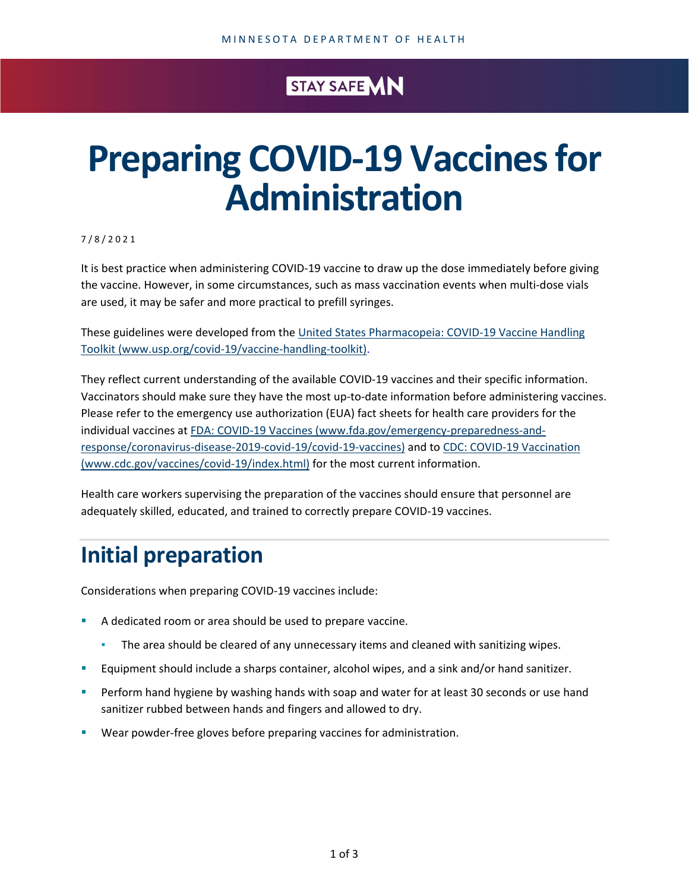### STAY SAFE MN

# **Preparing COVID-19 Vaccines for Administration**

7 / 8 / 2021

It is best practice when administering COVID-19 vaccine to draw up the dose immediately before giving the vaccine. However, in some circumstances, such as mass vaccination events when multi-dose vials are used, it may be safer and more practical to prefill syringes.

These guidelines were developed from the United States Pharmacopeia: COVID-19 Vaccine Handling [Toolkit \(www.usp.org/covid-19/vaccine-handling-toolkit\).](https://www.usp.org/covid-19/vaccine-handling-toolkit)

They reflect current understanding of the available COVID-19 vaccines and their specific information. Vaccinators should make sure they have the most up-to-date information before administering vaccines. Please refer to the emergency use authorization (EUA) fact sheets for health care providers for the individual vaccines at [FDA: COVID-19 Vaccines \(www.fda.gov/emergency-preparedness-and](https://www.fda.gov/emergency-preparedness-and-response/coronavirus-disease-2019-covid-19/covid-19-vaccines)[response/coronavirus-disease-2019-covid-19/covid-19-vaccines\)](https://www.fda.gov/emergency-preparedness-and-response/coronavirus-disease-2019-covid-19/covid-19-vaccines) and to [CDC: COVID-19 Vaccination](https://www.cdc.gov/vaccines/covid-19/index.html)  [\(www.cdc.gov/vaccines/covid-19/index.html\)](https://www.cdc.gov/vaccines/covid-19/index.html) for the most current information.

Health care workers supervising the preparation of the vaccines should ensure that personnel are adequately skilled, educated, and trained to correctly prepare COVID-19 vaccines.

## **Initial preparation**

Considerations when preparing COVID-19 vaccines include:

- A dedicated room or area should be used to prepare vaccine.
	- The area should be cleared of any unnecessary items and cleaned with sanitizing wipes.
- Equipment should include a sharps container, alcohol wipes, and a sink and/or hand sanitizer.
- Perform hand hygiene by washing hands with soap and water for at least 30 seconds or use hand sanitizer rubbed between hands and fingers and allowed to dry.
- Wear powder-free gloves before preparing vaccines for administration.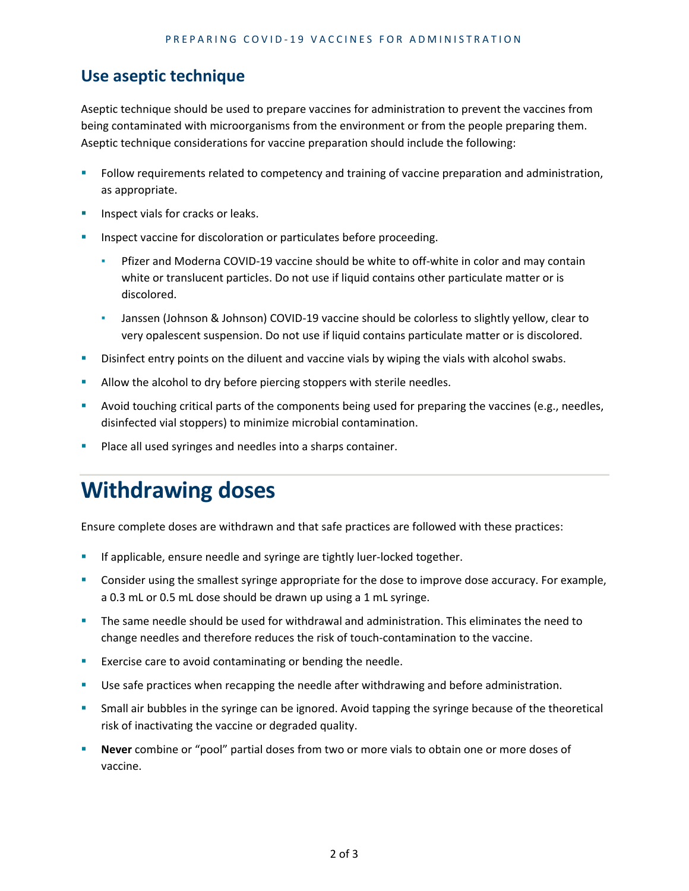#### **Use aseptic technique**

Aseptic technique should be used to prepare vaccines for administration to prevent the vaccines from being contaminated with microorganisms from the environment or from the people preparing them. Aseptic technique considerations for vaccine preparation should include the following:

- Follow requirements related to competency and training of vaccine preparation and administration, as appropriate.
- Inspect vials for cracks or leaks.
- Inspect vaccine for discoloration or particulates before proceeding.
	- Pfizer and Moderna COVID-19 vaccine should be white to off-white in color and may contain white or translucent particles. Do not use if liquid contains other particulate matter or is discolored.
	- **Janssen (Johnson & Johnson) COVID-19 vaccine should be colorless to slightly yellow, clear to** very opalescent suspension. Do not use if liquid contains particulate matter or is discolored.
- **BUDIST 2018 ISS 2018 12 THS 2018 VISTOR 10 ISS 2018 10 ISS 2018 10 ISS 2018 10 ISS 2018 10 ISS 2019 10 ISS 2019**
- Allow the alcohol to dry before piercing stoppers with sterile needles.
- **Avoid touching critical parts of the components being used for preparing the vaccines (e.g., needles,** disinfected vial stoppers) to minimize microbial contamination.
- Place all used syringes and needles into a sharps container.

## **Withdrawing doses**

Ensure complete doses are withdrawn and that safe practices are followed with these practices:

- If applicable, ensure needle and syringe are tightly luer-locked together.
- Consider using the smallest syringe appropriate for the dose to improve dose accuracy. For example, a 0.3 mL or 0.5 mL dose should be drawn up using a 1 mL syringe.
- The same needle should be used for withdrawal and administration. This eliminates the need to change needles and therefore reduces the risk of touch-contamination to the vaccine.
- **EXELT** Exercise care to avoid contaminating or bending the needle.
- **Use safe practices when recapping the needle after withdrawing and before administration.**
- Small air bubbles in the syringe can be ignored. Avoid tapping the syringe because of the theoretical risk of inactivating the vaccine or degraded quality.
- **Never** combine or "pool" partial doses from two or more vials to obtain one or more doses of vaccine.